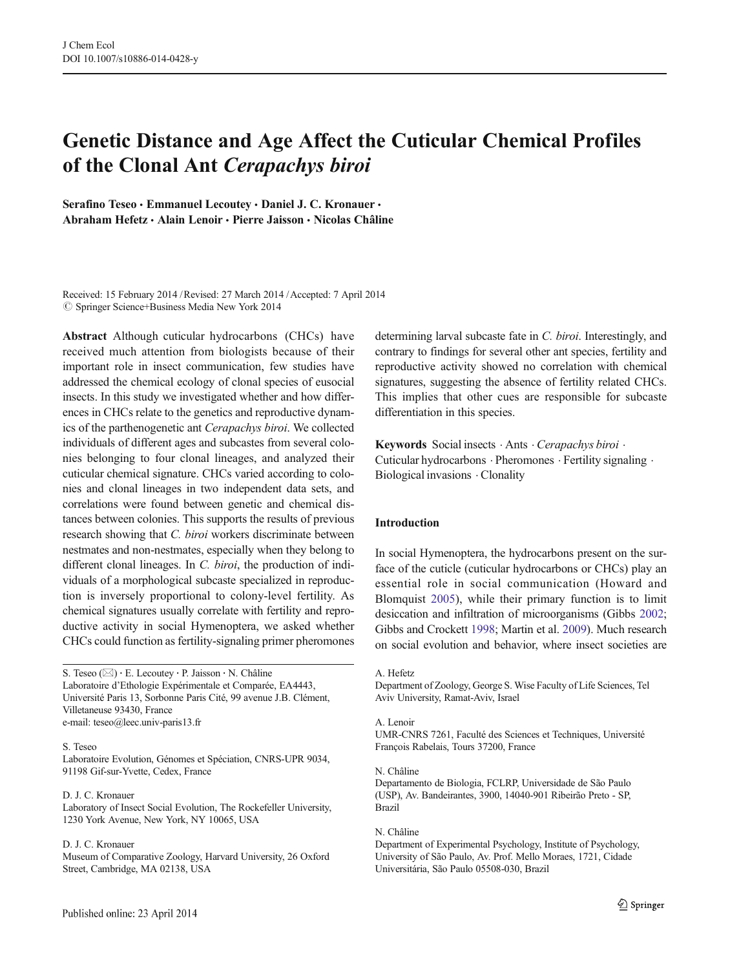# Genetic Distance and Age Affect the Cuticular Chemical Profiles of the Clonal Ant Cerapachys biroi

Serafino Teseo · Emmanuel Lecoutey · Daniel J. C. Kronauer · Abraham Hefetz · Alain Lenoir · Pierre Jaisson · Nicolas Châline

Received: 15 February 2014 /Revised: 27 March 2014 /Accepted: 7 April 2014  $\circled{c}$  Springer Science+Business Media New York 2014

Abstract Although cuticular hydrocarbons (CHCs) have received much attention from biologists because of their important role in insect communication, few studies have addressed the chemical ecology of clonal species of eusocial insects. In this study we investigated whether and how differences in CHCs relate to the genetics and reproductive dynamics of the parthenogenetic ant Cerapachys biroi. We collected individuals of different ages and subcastes from several colonies belonging to four clonal lineages, and analyzed their cuticular chemical signature. CHCs varied according to colonies and clonal lineages in two independent data sets, and correlations were found between genetic and chemical distances between colonies. This supports the results of previous research showing that C. biroi workers discriminate between nestmates and non-nestmates, especially when they belong to different clonal lineages. In C. biroi, the production of individuals of a morphological subcaste specialized in reproduction is inversely proportional to colony-level fertility. As chemical signatures usually correlate with fertility and reproductive activity in social Hymenoptera, we asked whether CHCs could function as fertility-signaling primer pheromones

S. Teseo ( $\boxtimes$ ) · E. Lecoutey · P. Jaisson · N. Châline Laboratoire d'Ethologie Expérimentale et Comparée, EA4443, Université Paris 13, Sorbonne Paris Cité, 99 avenue J.B. Clément, Villetaneuse 93430, France e-mail: teseo@leec.univ-paris13.fr

## S. Teseo

Laboratoire Evolution, Génomes et Spéciation, CNRS-UPR 9034, 91198 Gif-sur-Yvette, Cedex, France

## D. J. C. Kronauer

Laboratory of Insect Social Evolution, The Rockefeller University, 1230 York Avenue, New York, NY 10065, USA

## D. J. C. Kronauer

Museum of Comparative Zoology, Harvard University, 26 Oxford Street, Cambridge, MA 02138, USA

determining larval subcaste fate in C. biroi. Interestingly, and contrary to findings for several other ant species, fertility and reproductive activity showed no correlation with chemical signatures, suggesting the absence of fertility related CHCs. This implies that other cues are responsible for subcaste differentiation in this species.

Keywords Social insects . Ants . Cerapachys biroi . Cuticular hydrocarbons . Pheromones . Fertility signaling . Biological invasions . Clonality

## Introduction

In social Hymenoptera, the hydrocarbons present on the surface of the cuticle (cuticular hydrocarbons or CHCs) play an essential role in social communication (Howard and Blomquist [2005\)](#page-9-0), while their primary function is to limit desiccation and infiltration of microorganisms (Gibbs [2002;](#page-9-0) Gibbs and Crockett [1998;](#page-9-0) Martin et al. [2009\)](#page-9-0). Much research on social evolution and behavior, where insect societies are

#### A. Hefetz

Department of Zoology, George S. Wise Faculty of Life Sciences, Tel Aviv University, Ramat-Aviv, Israel

#### A. Lenoir

UMR-CNRS 7261, Faculté des Sciences et Techniques, Université François Rabelais, Tours 37200, France

#### N. Châline

Departamento de Biologia, FCLRP, Universidade de São Paulo (USP), Av. Bandeirantes, 3900, 14040-901 Ribeirão Preto - SP, Brazil

#### N. Châline

Department of Experimental Psychology, Institute of Psychology, University of São Paulo, Av. Prof. Mello Moraes, 1721, Cidade Universitária, São Paulo 05508-030, Brazil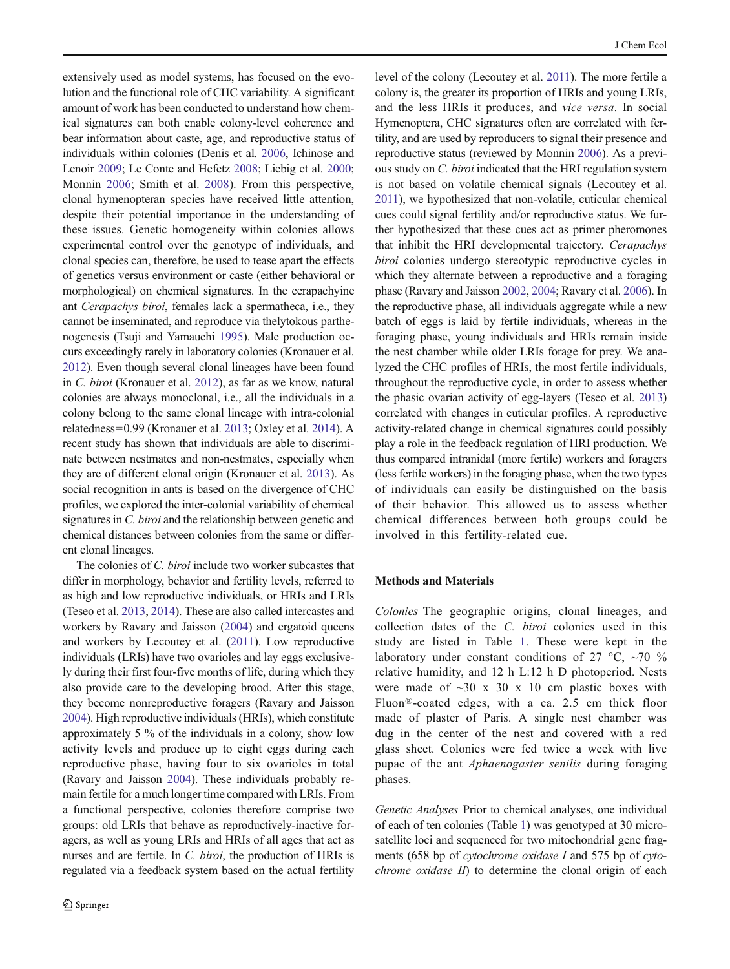extensively used as model systems, has focused on the evolution and the functional role of CHC variability. A significant amount of work has been conducted to understand how chemical signatures can both enable colony-level coherence and bear information about caste, age, and reproductive status of individuals within colonies (Denis et al. [2006,](#page-9-0) Ichinose and Lenoir [2009](#page-9-0); Le Conte and Hefetz [2008](#page-9-0); Liebig et al. [2000](#page-9-0); Monnin [2006;](#page-9-0) Smith et al. [2008](#page-9-0)). From this perspective, clonal hymenopteran species have received little attention, despite their potential importance in the understanding of these issues. Genetic homogeneity within colonies allows experimental control over the genotype of individuals, and clonal species can, therefore, be used to tease apart the effects of genetics versus environment or caste (either behavioral or morphological) on chemical signatures. In the cerapachyine ant Cerapachys biroi, females lack a spermatheca, i.e., they cannot be inseminated, and reproduce via thelytokous parthenogenesis (Tsuji and Yamauchi [1995\)](#page-9-0). Male production occurs exceedingly rarely in laboratory colonies (Kronauer et al. [2012\)](#page-9-0). Even though several clonal lineages have been found in C. biroi (Kronauer et al. [2012](#page-9-0)), as far as we know, natural colonies are always monoclonal, i.e., all the individuals in a colony belong to the same clonal lineage with intra-colonial relatedness=0.99 (Kronauer et al. [2013;](#page-9-0) Oxley et al. [2014](#page-9-0)). A recent study has shown that individuals are able to discriminate between nestmates and non-nestmates, especially when they are of different clonal origin (Kronauer et al. [2013\)](#page-9-0). As social recognition in ants is based on the divergence of CHC profiles, we explored the inter-colonial variability of chemical signatures in *C. biroi* and the relationship between genetic and chemical distances between colonies from the same or different clonal lineages.

The colonies of C. biroi include two worker subcastes that differ in morphology, behavior and fertility levels, referred to as high and low reproductive individuals, or HRIs and LRIs (Teseo et al. [2013,](#page-9-0) [2014\)](#page-9-0). These are also called intercastes and workers by Ravary and Jaisson [\(2004\)](#page-9-0) and ergatoid queens and workers by Lecoutey et al. [\(2011\)](#page-9-0). Low reproductive individuals (LRIs) have two ovarioles and lay eggs exclusively during their first four-five months of life, during which they also provide care to the developing brood. After this stage, they become nonreproductive foragers (Ravary and Jaisson [2004\)](#page-9-0). High reproductive individuals (HRIs), which constitute approximately 5 % of the individuals in a colony, show low activity levels and produce up to eight eggs during each reproductive phase, having four to six ovarioles in total (Ravary and Jaisson [2004](#page-9-0)). These individuals probably remain fertile for a much longer time compared with LRIs. From a functional perspective, colonies therefore comprise two groups: old LRIs that behave as reproductively-inactive foragers, as well as young LRIs and HRIs of all ages that act as nurses and are fertile. In C. biroi, the production of HRIs is regulated via a feedback system based on the actual fertility

level of the colony (Lecoutey et al. [2011](#page-9-0)). The more fertile a colony is, the greater its proportion of HRIs and young LRIs, and the less HRIs it produces, and vice versa. In social Hymenoptera, CHC signatures often are correlated with fertility, and are used by reproducers to signal their presence and reproductive status (reviewed by Monnin [2006](#page-9-0)). As a previous study on C. biroi indicated that the HRI regulation system is not based on volatile chemical signals (Lecoutey et al. [2011](#page-9-0)), we hypothesized that non-volatile, cuticular chemical cues could signal fertility and/or reproductive status. We further hypothesized that these cues act as primer pheromones that inhibit the HRI developmental trajectory. Cerapachys biroi colonies undergo stereotypic reproductive cycles in which they alternate between a reproductive and a foraging phase (Ravary and Jaisson [2002](#page-9-0), [2004;](#page-9-0) Ravary et al. [2006](#page-9-0)). In the reproductive phase, all individuals aggregate while a new batch of eggs is laid by fertile individuals, whereas in the foraging phase, young individuals and HRIs remain inside the nest chamber while older LRIs forage for prey. We analyzed the CHC profiles of HRIs, the most fertile individuals, throughout the reproductive cycle, in order to assess whether the phasic ovarian activity of egg-layers (Teseo et al. [2013](#page-9-0)) correlated with changes in cuticular profiles. A reproductive activity-related change in chemical signatures could possibly play a role in the feedback regulation of HRI production. We thus compared intranidal (more fertile) workers and foragers (less fertile workers) in the foraging phase, when the two types of individuals can easily be distinguished on the basis of their behavior. This allowed us to assess whether chemical differences between both groups could be involved in this fertility-related cue.

# Methods and Materials

Colonies The geographic origins, clonal lineages, and collection dates of the C. biroi colonies used in this study are listed in Table [1](#page-2-0). These were kept in the laboratory under constant conditions of 27  $\degree$ C,  $\sim$ 70 % relative humidity, and 12 h L:12 h D photoperiod. Nests were made of  $\sim$ 30 x 30 x 10 cm plastic boxes with Fluon®-coated edges, with a ca. 2.5 cm thick floor made of plaster of Paris. A single nest chamber was dug in the center of the nest and covered with a red glass sheet. Colonies were fed twice a week with live pupae of the ant Aphaenogaster senilis during foraging phases.

Genetic Analyses Prior to chemical analyses, one individual of each of ten colonies (Table [1\)](#page-2-0) was genotyped at 30 microsatellite loci and sequenced for two mitochondrial gene fragments (658 bp of cytochrome oxidase I and 575 bp of cytochrome oxidase II) to determine the clonal origin of each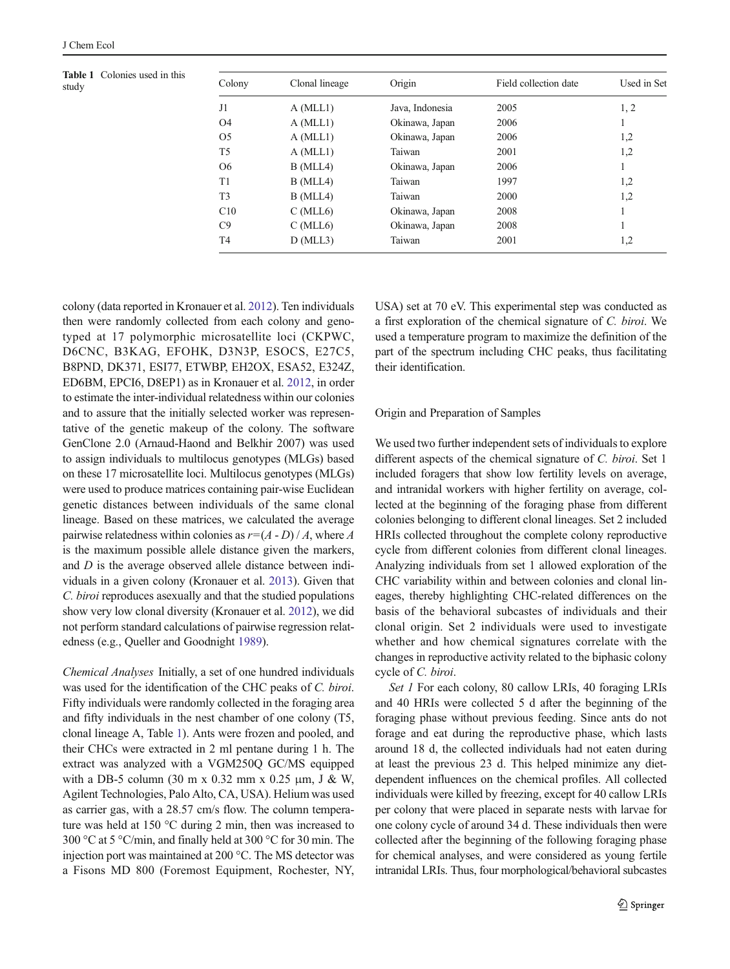Table 1 Colonies used in this

<span id="page-2-0"></span>

| <b>Table 1</b> Colonies used in this<br>study | Colony         | Clonal lineage | Origin          | Field collection date | Used in Set |
|-----------------------------------------------|----------------|----------------|-----------------|-----------------------|-------------|
|                                               | J1             | A (MLL1)       | Java, Indonesia | 2005                  | 1, 2        |
|                                               | O <sub>4</sub> | A (MLL1)       | Okinawa, Japan  | 2006                  |             |
|                                               | O <sub>5</sub> | A (MLL1)       | Okinawa, Japan  | 2006                  | 1,2         |
|                                               | T <sub>5</sub> | A (MLL1)       | Taiwan          | 2001                  | 1,2         |
|                                               | O <sub>6</sub> | $B$ (MLL4)     | Okinawa, Japan  | 2006                  |             |
|                                               | T1             | $B$ (MLL4)     | Taiwan          | 1997                  | 1,2         |
|                                               | T <sub>3</sub> | $B$ (MLL4)     | Taiwan          | 2000                  | 1,2         |
|                                               | C10            | $C$ (MLL6)     | Okinawa, Japan  | 2008                  |             |
|                                               | C9             | $C$ (MLL6)     | Okinawa, Japan  | 2008                  |             |
|                                               | T4             | $D$ (MLL3)     | Taiwan          | 2001                  | 1,2         |
|                                               |                |                |                 |                       |             |

colony (data reported in Kronauer et al. [2012](#page-9-0)). Ten individuals then were randomly collected from each colony and genotyped at 17 polymorphic microsatellite loci (CKPWC, D6CNC, B3KAG, EFOHK, D3N3P, ESOCS, E27C5, B8PND, DK371, ESI77, ETWBP, EH2OX, ESA52, E324Z, ED6BM, EPCI6, D8EP1) as in Kronauer et al. [2012,](#page-9-0) in order to estimate the inter-individual relatedness within our colonies and to assure that the initially selected worker was representative of the genetic makeup of the colony. The software GenClone 2.0 (Arnaud-Haond and Belkhir 2007) was used to assign individuals to multilocus genotypes (MLGs) based on these 17 microsatellite loci. Multilocus genotypes (MLGs) were used to produce matrices containing pair-wise Euclidean genetic distances between individuals of the same clonal lineage. Based on these matrices, we calculated the average pairwise relatedness within colonies as  $r=(A-D)/A$ , where A is the maximum possible allele distance given the markers, and D is the average observed allele distance between individuals in a given colony (Kronauer et al. [2013](#page-9-0)). Given that C. biroi reproduces asexually and that the studied populations show very low clonal diversity (Kronauer et al. [2012\)](#page-9-0), we did not perform standard calculations of pairwise regression relatedness (e.g., Queller and Goodnight [1989\)](#page-9-0).

Chemical Analyses Initially, a set of one hundred individuals was used for the identification of the CHC peaks of C. biroi. Fifty individuals were randomly collected in the foraging area and fifty individuals in the nest chamber of one colony (T5, clonal lineage A, Table 1). Ants were frozen and pooled, and their CHCs were extracted in 2 ml pentane during 1 h. The extract was analyzed with a VGM250Q GC/MS equipped with a DB-5 column (30 m x 0.32 mm x 0.25  $\mu$ m, J & W, Agilent Technologies, Palo Alto, CA, USA). Helium was used as carrier gas, with a 28.57 cm/s flow. The column temperature was held at 150 °C during 2 min, then was increased to 300 °C at 5 °C/min, and finally held at 300 °C for 30 min. The injection port was maintained at 200 °C. The MS detector was a Fisons MD 800 (Foremost Equipment, Rochester, NY, USA) set at 70 eV. This experimental step was conducted as a first exploration of the chemical signature of C. biroi. We used a temperature program to maximize the definition of the part of the spectrum including CHC peaks, thus facilitating their identification.

## Origin and Preparation of Samples

We used two further independent sets of individuals to explore different aspects of the chemical signature of C. biroi. Set 1 included foragers that show low fertility levels on average, and intranidal workers with higher fertility on average, collected at the beginning of the foraging phase from different colonies belonging to different clonal lineages. Set 2 included HRIs collected throughout the complete colony reproductive cycle from different colonies from different clonal lineages. Analyzing individuals from set 1 allowed exploration of the CHC variability within and between colonies and clonal lineages, thereby highlighting CHC-related differences on the basis of the behavioral subcastes of individuals and their clonal origin. Set 2 individuals were used to investigate whether and how chemical signatures correlate with the changes in reproductive activity related to the biphasic colony cycle of C. biroi.

Set 1 For each colony, 80 callow LRIs, 40 foraging LRIs and 40 HRIs were collected 5 d after the beginning of the foraging phase without previous feeding. Since ants do not forage and eat during the reproductive phase, which lasts around 18 d, the collected individuals had not eaten during at least the previous 23 d. This helped minimize any dietdependent influences on the chemical profiles. All collected individuals were killed by freezing, except for 40 callow LRIs per colony that were placed in separate nests with larvae for one colony cycle of around 34 d. These individuals then were collected after the beginning of the following foraging phase for chemical analyses, and were considered as young fertile intranidal LRIs. Thus, four morphological/behavioral subcastes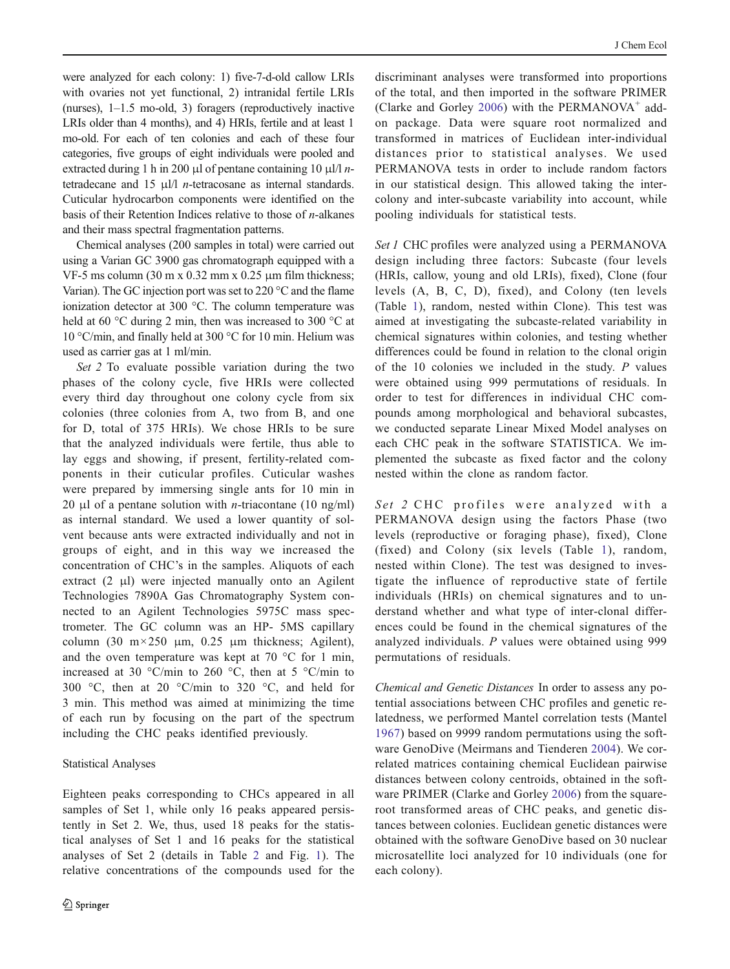were analyzed for each colony: 1) five-7-d-old callow LRIs with ovaries not yet functional, 2) intranidal fertile LRIs (nurses), 1–1.5 mo-old, 3) foragers (reproductively inactive LRIs older than 4 months), and 4) HRIs, fertile and at least 1 mo-old. For each of ten colonies and each of these four categories, five groups of eight individuals were pooled and extracted during 1 h in 200 μl of pentane containing 10 μl/l  $n$ tetradecane and 15 μl/l n-tetracosane as internal standards. Cuticular hydrocarbon components were identified on the basis of their Retention Indices relative to those of  $n$ -alkanes and their mass spectral fragmentation patterns.

Chemical analyses (200 samples in total) were carried out using a Varian GC 3900 gas chromatograph equipped with a VF-5 ms column  $(30 \text{ m x } 0.32 \text{ mm x } 0.25 \text{ µm film thickness};$ Varian). The GC injection port was set to 220 °C and the flame ionization detector at 300 °C. The column temperature was held at 60 °C during 2 min, then was increased to 300 °C at 10 °C/min, and finally held at 300 °C for 10 min. Helium was used as carrier gas at 1 ml/min.

Set 2 To evaluate possible variation during the two phases of the colony cycle, five HRIs were collected every third day throughout one colony cycle from six colonies (three colonies from A, two from B, and one for D, total of 375 HRIs). We chose HRIs to be sure that the analyzed individuals were fertile, thus able to lay eggs and showing, if present, fertility-related components in their cuticular profiles. Cuticular washes were prepared by immersing single ants for 10 min in 20 μl of a pentane solution with *n*-triacontane (10 ng/ml) as internal standard. We used a lower quantity of solvent because ants were extracted individually and not in groups of eight, and in this way we increased the concentration of CHC's in the samples. Aliquots of each extract (2 μl) were injected manually onto an Agilent Technologies 7890A Gas Chromatography System connected to an Agilent Technologies 5975C mass spectrometer. The GC column was an HP- 5MS capillary column (30 m $\times$ 250 μm, 0.25 μm thickness; Agilent), and the oven temperature was kept at  $70^{\circ}$ C for 1 min, increased at 30 °C/min to 260 °C, then at 5 °C/min to 300 °C, then at 20 °C/min to 320 °C, and held for 3 min. This method was aimed at minimizing the time of each run by focusing on the part of the spectrum including the CHC peaks identified previously.

# Statistical Analyses

Eighteen peaks corresponding to CHCs appeared in all samples of Set 1, while only 16 peaks appeared persistently in Set 2. We, thus, used 18 peaks for the statistical analyses of Set 1 and 16 peaks for the statistical analyses of Set 2 (details in Table [2](#page-4-0) and Fig. [1\)](#page-4-0). The relative concentrations of the compounds used for the discriminant analyses were transformed into proportions of the total, and then imported in the software PRIMER (Clarke and Gorley [2006\)](#page-9-0) with the PERMANOVA $^+$  addon package. Data were square root normalized and transformed in matrices of Euclidean inter-individual distances prior to statistical analyses. We used PERMANOVA tests in order to include random factors in our statistical design. This allowed taking the intercolony and inter-subcaste variability into account, while pooling individuals for statistical tests.

Set 1 CHC profiles were analyzed using a PERMANOVA design including three factors: Subcaste (four levels (HRIs, callow, young and old LRIs), fixed), Clone (four levels (A, B, C, D), fixed), and Colony (ten levels (Table [1\)](#page-2-0), random, nested within Clone). This test was aimed at investigating the subcaste-related variability in chemical signatures within colonies, and testing whether differences could be found in relation to the clonal origin of the 10 colonies we included in the study. P values were obtained using 999 permutations of residuals. In order to test for differences in individual CHC compounds among morphological and behavioral subcastes, we conducted separate Linear Mixed Model analyses on each CHC peak in the software STATISTICA. We implemented the subcaste as fixed factor and the colony nested within the clone as random factor.

Set 2 CHC profiles were analyzed with a PERMANOVA design using the factors Phase (two levels (reproductive or foraging phase), fixed), Clone (fixed) and Colony (six levels (Table [1](#page-2-0)), random, nested within Clone). The test was designed to investigate the influence of reproductive state of fertile individuals (HRIs) on chemical signatures and to understand whether and what type of inter-clonal differences could be found in the chemical signatures of the analyzed individuals. P values were obtained using 999 permutations of residuals.

Chemical and Genetic Distances In order to assess any potential associations between CHC profiles and genetic relatedness, we performed Mantel correlation tests (Mantel [1967\)](#page-9-0) based on 9999 random permutations using the software GenoDive (Meirmans and Tienderen [2004](#page-9-0)). We correlated matrices containing chemical Euclidean pairwise distances between colony centroids, obtained in the software PRIMER (Clarke and Gorley [2006\)](#page-9-0) from the squareroot transformed areas of CHC peaks, and genetic distances between colonies. Euclidean genetic distances were obtained with the software GenoDive based on 30 nuclear microsatellite loci analyzed for 10 individuals (one for each colony).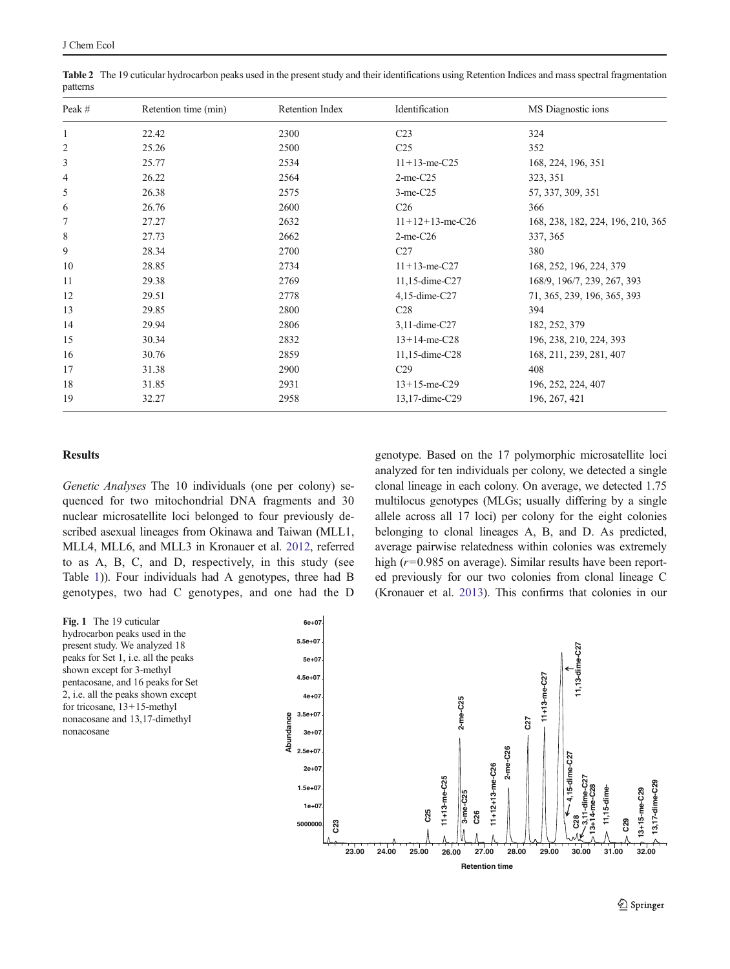| Peak #       | Retention time (min) | Retention Index | Identification     | MS Diagnostic ions                |  |  |
|--------------|----------------------|-----------------|--------------------|-----------------------------------|--|--|
| $\mathbf{1}$ | 22.42                | 2300            | C <sub>23</sub>    | 324                               |  |  |
| 2            | 25.26                | 2500            | C <sub>25</sub>    | 352                               |  |  |
| 3            | 25.77                | 2534            | $11+13$ -me-C25    | 168, 224, 196, 351                |  |  |
| 4            | 26.22                | 2564            | $2$ -me-C $25$     | 323, 351                          |  |  |
| 5            | 26.38                | 2575            | $3$ -me- $C25$     | 57, 337, 309, 351                 |  |  |
| 6            | 26.76                | 2600            | C <sub>26</sub>    | 366                               |  |  |
| 7            | 27.27                | 2632            | $11+12+13$ -me-C26 | 168, 238, 182, 224, 196, 210, 365 |  |  |
| 8            | 27.73                | 2662            | $2$ -me-C26        | 337, 365                          |  |  |
| 9            | 28.34                | 2700            | C27                | 380                               |  |  |
| 10           | 28.85                | 2734            | $11+13$ -me-C27    | 168, 252, 196, 224, 379           |  |  |
| 11           | 29.38                | 2769            | 11,15-dime-C27     | 168/9, 196/7, 239, 267, 393       |  |  |
| 12           | 29.51                | 2778            | $4,15$ -dime-C27   | 71, 365, 239, 196, 365, 393       |  |  |
| 13           | 29.85                | 2800            | C28                | 394                               |  |  |
| 14           | 29.94                | 2806            | 3,11-dime-C27      | 182, 252, 379                     |  |  |
| 15           | 30.34                | 2832            | $13+14$ -me-C28    | 196, 238, 210, 224, 393           |  |  |
| 16           | 30.76                | 2859            | 11,15-dime-C28     | 168, 211, 239, 281, 407           |  |  |
| 17           | 31.38                | 2900            | C <sub>29</sub>    | 408                               |  |  |
| 18           | 31.85                | 2931            | $13+15$ -me-C29    | 196, 252, 224, 407                |  |  |
| 19           | 32.27                | 2958            | 13,17-dime-C29     | 196, 267, 421                     |  |  |

<span id="page-4-0"></span>Table 2 The 19 cuticular hydrocarbon peaks used in the present study and their identifications using Retention Indices and mass spectral fragmentation patterns

# **Results**

Genetic Analyses The 10 individuals (one per colony) sequenced for two mitochondrial DNA fragments and 30 nuclear microsatellite loci belonged to four previously described asexual lineages from Okinawa and Taiwan (MLL1, MLL4, MLL6, and MLL3 in Kronauer et al. [2012](#page-9-0), referred to as A, B, C, and D, respectively, in this study (see Table [1\)](#page-2-0)). Four individuals had A genotypes, three had B genotypes, two had C genotypes, and one had the D

Fig. 1 The 19 cuticular hydrocarbon peaks used in the present study. We analyzed 18 peaks for Set 1, i.e. all the peaks shown except for 3-methyl pentacosane, and 16 peaks for Set 2, i.e. all the peaks shown except for tricosane, 13+15-methyl nonacosane and 13,17-dimethyl nonacosane

genotype. Based on the 17 polymorphic microsatellite loci analyzed for ten individuals per colony, we detected a single clonal lineage in each colony. On average, we detected 1.75 multilocus genotypes (MLGs; usually differing by a single allele across all 17 loci) per colony for the eight colonies belonging to clonal lineages A, B, and D. As predicted, average pairwise relatedness within colonies was extremely high ( $r=0.985$  on average). Similar results have been reported previously for our two colonies from clonal lineage C (Kronauer et al. [2013](#page-9-0)). This confirms that colonies in our

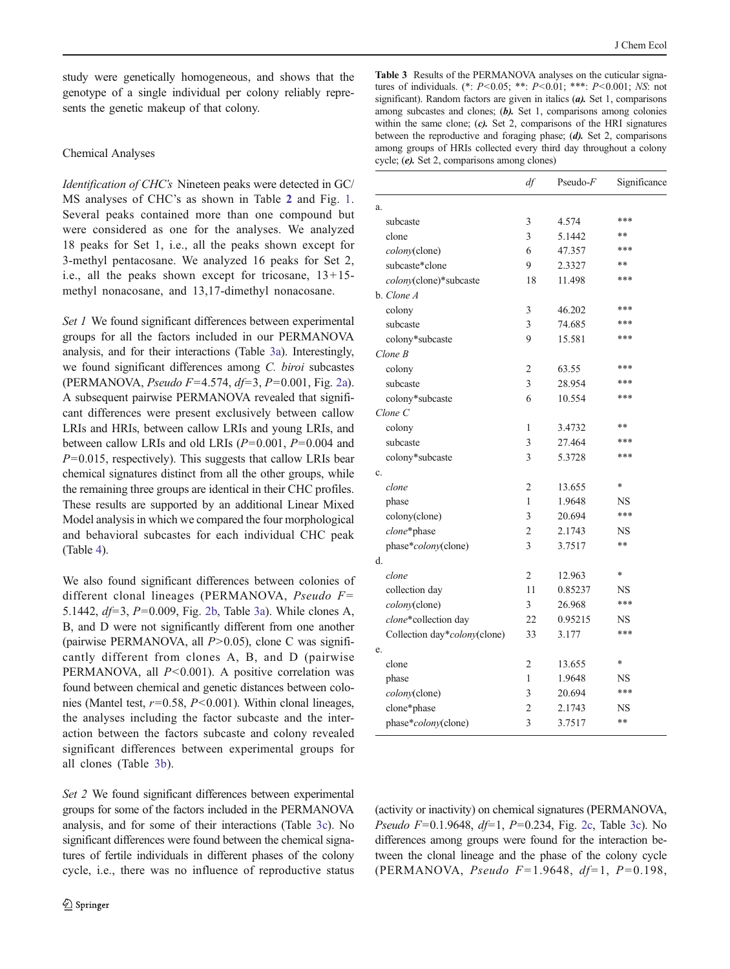<span id="page-5-0"></span>study were genetically homogeneous, and shows that the genotype of a single individual per colony reliably represents the genetic makeup of that colony.

## Chemical Analyses

Identification of CHC's Nineteen peaks were detected in GC/ MS analyses of CHC's as shown in Table [2](#page-4-0) and Fig. [1.](#page-4-0) Several peaks contained more than one compound but were considered as one for the analyses. We analyzed 18 peaks for Set 1, i.e., all the peaks shown except for 3-methyl pentacosane. We analyzed 16 peaks for Set 2, i.e., all the peaks shown except for tricosane, 13+15 methyl nonacosane, and 13,17-dimethyl nonacosane.

Set 1 We found significant differences between experimental groups for all the factors included in our PERMANOVA analysis, and for their interactions (Table 3a). Interestingly, we found significant differences among C. biroi subcastes (PERMANOVA, *Pseudo F*=4.574,  $df=3$ , *P*=0.001, Fig. [2a\)](#page-6-0). A subsequent pairwise PERMANOVA revealed that significant differences were present exclusively between callow LRIs and HRIs, between callow LRIs and young LRIs, and between callow LRIs and old LRIs  $(P=0.001, P=0.004$  and  $P=0.015$ , respectively). This suggests that callow LRIs bear chemical signatures distinct from all the other groups, while the remaining three groups are identical in their CHC profiles. These results are supported by an additional Linear Mixed Model analysis in which we compared the four morphological and behavioral subcastes for each individual CHC peak (Table [4](#page-7-0)).

We also found significant differences between colonies of different clonal lineages (PERMANOVA, Pseudo  $F=$ 5.1442,  $df=3$ ,  $P=0.009$ , Fig. [2b](#page-6-0), Table 3a). While clones A, B, and D were not significantly different from one another (pairwise PERMANOVA, all  $P > 0.05$ ), clone C was significantly different from clones A, B, and D (pairwise PERMANOVA, all  $P<0.001$ ). A positive correlation was found between chemical and genetic distances between colonies (Mantel test,  $r=0.58$ ,  $P<0.001$ ). Within clonal lineages, the analyses including the factor subcaste and the interaction between the factors subcaste and colony revealed significant differences between experimental groups for all clones (Table 3b).

Set 2 We found significant differences between experimental groups for some of the factors included in the PERMANOVA analysis, and for some of their interactions (Table 3c). No significant differences were found between the chemical signatures of fertile individuals in different phases of the colony cycle, i.e., there was no influence of reproductive status

Table 3 Results of the PERMANOVA analyses on the cuticular signatures of individuals. (\*:  $P < 0.05$ ; \*\*:  $P < 0.01$ ; \*\*\*:  $P < 0.001$ ; NS: not significant). Random factors are given in italics (a). Set 1, comparisons among subcastes and clones; (b). Set 1, comparisons among colonies within the same clone; (c). Set 2, comparisons of the HRI signatures between the reproductive and foraging phase; (d). Set 2, comparisons among groups of HRIs collected every third day throughout a colony cycle; (e). Set 2, comparisons among clones)

|                              | df             | $Pseudo-F$ | Significance |
|------------------------------|----------------|------------|--------------|
| a.                           |                |            |              |
| subcaste                     | 3              | 4.574      | ***          |
| clone                        | 3              | 5.1442     | **           |
| colony(clone)                | 6              | 47.357     | ***          |
| subcaste*clone               | 9              | 2.3327     | $**$         |
| colony(clone)*subcaste       | 18             | 11.498     | ***          |
| b. Clone A                   |                |            |              |
| colony                       | 3              | 46.202     | ***          |
| subcaste                     | 3              | 74.685     | ***          |
| colony*subcaste              | 9              | 15.581     | ***          |
| Clone B                      |                |            |              |
| colony                       | $\overline{c}$ | 63.55      | ***          |
| subcaste                     | 3              | 28.954     | ***          |
| colony*subcaste              | 6              | 10.554     | ***          |
| Clone C                      |                |            |              |
| colony                       | 1              | 3.4732     | **           |
| subcaste                     | 3              | 27.464     | ***          |
| colony*subcaste              | $\mathcal{E}$  | 5.3728     | ***          |
| c.                           |                |            |              |
| clone                        | $\overline{2}$ | 13.655     | *            |
| phase                        | 1              | 1.9648     | NS           |
| colony(clone)                | 3              | 20.694     | ***          |
| clone*phase                  | 2              | 2.1743     | NS           |
| phase*colony(clone)          | 3              | 3.7517     | **           |
| d.                           |                |            |              |
| clone                        | $\overline{2}$ | 12.963     | *            |
| collection day               | 11             | 0.85237    | NS           |
| colony(clone)                | 3              | 26.968     | ***          |
| clone*collection day         | 22             | 0.95215    | <b>NS</b>    |
| Collection day*colony(clone) | 33             | 3.177      | ***          |
| e.                           |                |            |              |
| clone                        | 2              | 13.655     | *            |
| phase                        | 1              | 1.9648     | NS           |
| colony(clone)                | 3              | 20.694     | ***          |
| clone*phase                  | $\overline{2}$ | 2.1743     | NS           |
| phase*colony(clone)          | 3              | 3.7517     | **           |

(activity or inactivity) on chemical signatures (PERMANOVA, Pseudo F=0.1.9648,  $df=1$ , P=0.234, Fig. [2c,](#page-6-0) Table 3c). No differences among groups were found for the interaction between the clonal lineage and the phase of the colony cycle (PERMANOVA, Pseudo F=1.9648, df=1, P=0.198,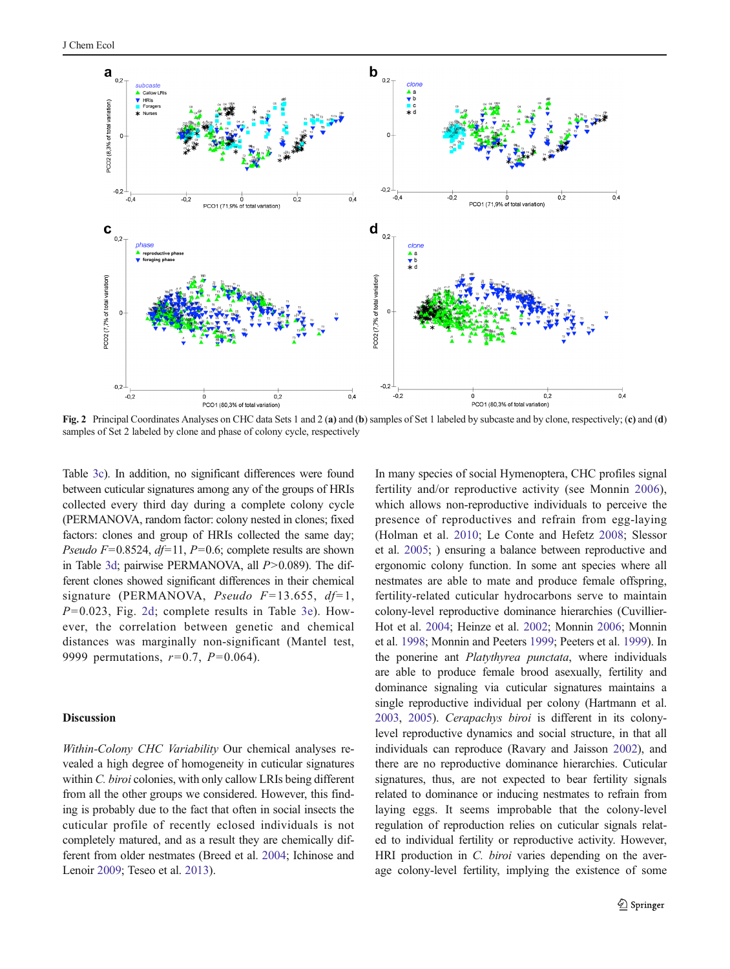<span id="page-6-0"></span>

samples of Set 2 labeled by clone and phase of colony cycle, respectively

Table [3c\)](#page-5-0). In addition, no significant differences were found between cuticular signatures among any of the groups of HRIs collected every third day during a complete colony cycle (PERMANOVA, random factor: colony nested in clones; fixed factors: clones and group of HRIs collected the same day; *Pseudo F*=0.8524,  $df=11$ , *P*=0.6; complete results are shown in Table [3d](#page-5-0); pairwise PERMANOVA, all  $P > 0.089$ ). The different clones showed significant differences in their chemical signature (PERMANOVA, Pseudo  $F=13.655$ ,  $df=1$ ,  $P=0.023$ , Fig. 2d; complete results in Table [3e\)](#page-5-0). However, the correlation between genetic and chemical distances was marginally non-significant (Mantel test, 9999 permutations,  $r=0.7$ ,  $P=0.064$ ).

# **Discussion**

Within-Colony CHC Variability Our chemical analyses revealed a high degree of homogeneity in cuticular signatures within *C. biroi* colonies, with only callow LRIs being different from all the other groups we considered. However, this finding is probably due to the fact that often in social insects the cuticular profile of recently eclosed individuals is not completely matured, and as a result they are chemically different from older nestmates (Breed et al. [2004](#page-8-0); Ichinose and Lenoir [2009;](#page-9-0) Teseo et al. [2013\)](#page-9-0).

In many species of social Hymenoptera, CHC profiles signal fertility and/or reproductive activity (see Monnin [2006](#page-9-0)), which allows non-reproductive individuals to perceive the presence of reproductives and refrain from egg-laying (Holman et al. [2010;](#page-9-0) Le Conte and Hefetz [2008;](#page-9-0) Slessor et al. [2005;](#page-9-0) ) ensuring a balance between reproductive and ergonomic colony function. In some ant species where all nestmates are able to mate and produce female offspring, fertility-related cuticular hydrocarbons serve to maintain colony-level reproductive dominance hierarchies (Cuvillier-Hot et al. [2004](#page-9-0); Heinze et al. [2002;](#page-9-0) Monnin [2006](#page-9-0); Monnin et al. [1998;](#page-9-0) Monnin and Peeters [1999;](#page-9-0) Peeters et al. [1999](#page-9-0)). In the ponerine ant *Platythyrea punctata*, where individuals are able to produce female brood asexually, fertility and dominance signaling via cuticular signatures maintains a single reproductive individual per colony (Hartmann et al. [2003,](#page-9-0) [2005\)](#page-9-0). Cerapachys biroi is different in its colonylevel reproductive dynamics and social structure, in that all individuals can reproduce (Ravary and Jaisson [2002](#page-9-0)), and there are no reproductive dominance hierarchies. Cuticular signatures, thus, are not expected to bear fertility signals related to dominance or inducing nestmates to refrain from laying eggs. It seems improbable that the colony-level regulation of reproduction relies on cuticular signals related to individual fertility or reproductive activity. However, HRI production in *C. biroi* varies depending on the average colony-level fertility, implying the existence of some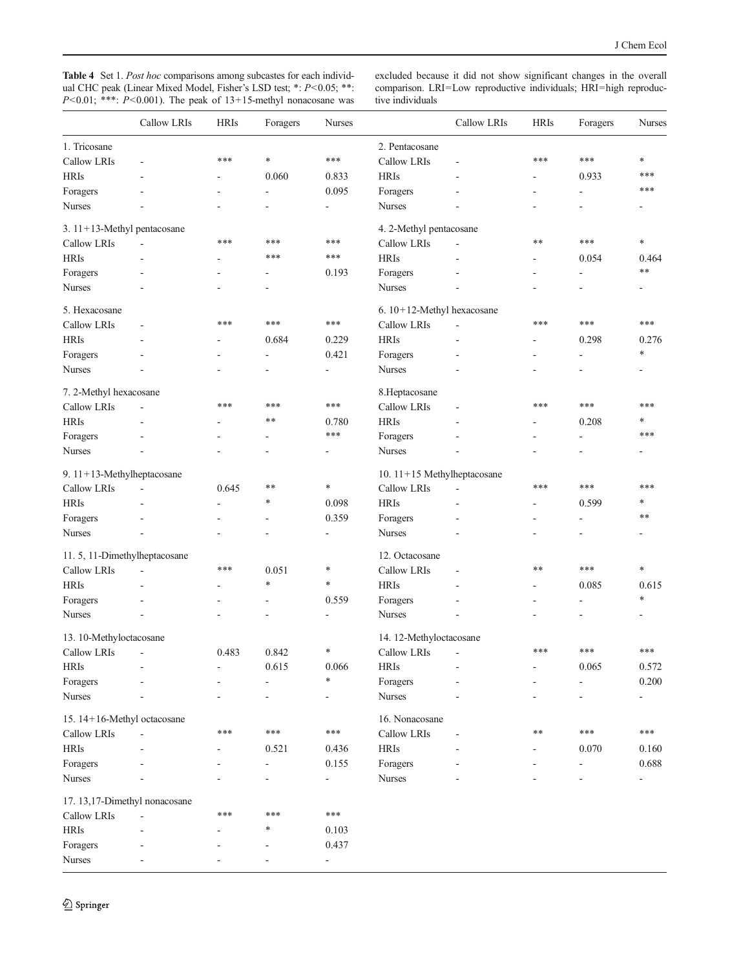<span id="page-7-0"></span>Table 4 Set 1. Post hoc comparisons among subcastes for each individual CHC peak (Linear Mixed Model, Fisher's LSD test; \*: P<0.05; \*\*:  $P<0.01$ ; \*\*\*:  $P<0.001$ ). The peak of 13+15-methyl nonacosane was excluded because it did not show significant changes in the overall comparison. LRI=Low reproductive individuals; HRI=high reproductive individuals

|                               | Callow LRIs | <b>HRIs</b> | Foragers                 | <b>Nurses</b>              |                               | Callow LRIs              | <b>HRIs</b>    | Foragers                 | <b>Nurses</b>                |  |
|-------------------------------|-------------|-------------|--------------------------|----------------------------|-------------------------------|--------------------------|----------------|--------------------------|------------------------------|--|
| 1. Tricosane                  |             |             |                          |                            | 2. Pentacosane                |                          |                |                          |                              |  |
| Callow LRIs                   | ä,          | ***         | $\ast$                   | ***                        | Callow LRIs                   | ä,                       | ***            | ***                      | $\ast$                       |  |
| <b>HRIs</b>                   | ÷           | ٠           | 0.060                    | 0.833                      | <b>HRIs</b>                   | ÷                        |                | 0.933                    | ***                          |  |
| Foragers                      |             | ٠           | $\overline{\phantom{a}}$ | 0.095                      | Foragers                      | ÷                        | $\overline{a}$ | ä,                       | ***                          |  |
| <b>Nurses</b>                 |             |             |                          | $\overline{\phantom{a}}$   | <b>Nurses</b>                 |                          |                |                          |                              |  |
| 3. 11+13-Methyl pentacosane   |             |             |                          |                            | 4. 2-Methyl pentacosane       |                          |                |                          |                              |  |
| Callow LRIs                   | ÷,          | ***         | ***                      | ***                        | Callow LRIs                   | $\blacksquare$           | **             | ***                      | $\ast$                       |  |
| <b>HRIs</b>                   | ä,          |             | ***                      | ***                        | <b>HRIs</b>                   | ä,                       |                | 0.054                    | 0.464                        |  |
| Foragers                      |             | ä,          | ä,                       | 0.193                      | Foragers                      |                          |                | $\overline{\phantom{a}}$ | $**$                         |  |
| <b>Nurses</b>                 |             |             |                          |                            | <b>Nurses</b>                 |                          |                |                          |                              |  |
| 5. Hexacosane                 |             |             |                          | 6. 10+12-Methyl hexacosane |                               |                          |                |                          |                              |  |
| Callow LRIs                   | ä,          | ***         | ***                      | ***                        | Callow LRIs                   | $\overline{\phantom{a}}$ | ***            | ***                      | ***                          |  |
| <b>HRIs</b>                   |             |             | 0.684                    | 0.229                      | <b>HRIs</b>                   | L.                       |                | 0.298                    | 0.276                        |  |
| Foragers                      |             |             | $\overline{\phantom{a}}$ | 0.421                      | Foragers                      |                          | $\overline{a}$ | ÷.                       | $\ast$                       |  |
| <b>Nurses</b>                 |             |             |                          | $\overline{a}$             | <b>Nurses</b>                 |                          |                | $\overline{a}$           | ٠                            |  |
| 7. 2-Methyl hexacosane        |             |             |                          | 8.Heptacosane              |                               |                          |                |                          |                              |  |
| Callow LRIs                   | ä,          | ***         | ***                      | ***                        | Callow LRIs                   | $\sim$                   | ***            | ***                      | ***                          |  |
| <b>HRIs</b>                   |             |             | $* *$                    | 0.780                      | <b>HRIs</b>                   | ÷,                       |                | 0.208                    | *                            |  |
| Foragers                      |             |             | ÷,                       | ***                        | Foragers                      |                          |                | ÷.                       | ***                          |  |
| <b>Nurses</b>                 |             |             |                          |                            | <b>Nurses</b>                 |                          |                |                          |                              |  |
| 9. 11+13-Methylheptacosane    |             |             |                          |                            | 10. $11+15$ Methylheptacosane |                          |                |                          |                              |  |
| Callow LRIs                   | ÷,          | 0.645       | **                       | $\ast$                     | Callow LRIs                   | $\sim$                   | ***            | ***                      | ***                          |  |
| <b>HRIs</b>                   |             |             | *                        | 0.098                      | <b>HRIs</b>                   |                          |                | 0.599                    | *                            |  |
| Foragers                      |             |             | $\overline{\phantom{a}}$ | 0.359                      | Foragers                      |                          |                | ä,                       | $**$                         |  |
| <b>Nurses</b>                 |             |             | L,                       |                            | <b>Nurses</b>                 |                          |                |                          | ۰                            |  |
| 11.5, 11-Dimethylheptacosane  |             |             |                          |                            | 12. Octacosane                |                          |                |                          |                              |  |
| Callow LRIs                   | ÷,          | ***         | 0.051                    | *                          | Callow LRIs                   | $\overline{\phantom{a}}$ | **             | ***                      | $\ast$                       |  |
| <b>HRIs</b>                   |             |             | $\ast$                   | $\ast$                     | <b>HRIs</b>                   |                          |                | 0.085                    | 0.615                        |  |
| Foragers                      |             |             | ÷,                       | 0.559                      | Foragers                      |                          |                | $\overline{\phantom{a}}$ | $\ast$                       |  |
| <b>Nurses</b>                 |             |             |                          |                            | <b>Nurses</b>                 |                          |                |                          |                              |  |
| 13. 10-Methyloctacosane       |             |             |                          |                            | 14. 12-Methyloctacosane       |                          |                |                          |                              |  |
| Callow LRIs                   | ÷,          | 0.483       | 0.842                    | *                          | Callow LRIs                   | ÷,                       | ***            | ***                      | ***                          |  |
| $\rm HRIs$                    |             |             | 0.615                    | 0.066                      | $\rm HRIs$                    |                          |                | 0.065                    | 0.572                        |  |
| Foragers                      |             |             |                          | $\ast$                     | Foragers                      |                          |                |                          | 0.200                        |  |
| <b>Nurses</b>                 |             |             |                          |                            | <b>Nurses</b>                 |                          |                |                          | ÷                            |  |
| 15. 14+16-Methyl octacosane   |             |             |                          | 16. Nonacosane             |                               |                          |                |                          |                              |  |
| Callow LRIs                   |             | ***         | $***$                    | ***                        | Callow LRIs                   |                          | **             | $***$                    | ***                          |  |
| <b>HRIs</b>                   |             |             | 0.521                    | 0.436                      | <b>HRIs</b>                   |                          |                | 0.070                    | 0.160                        |  |
| Foragers                      |             |             |                          | 0.155                      | Foragers                      |                          |                |                          | 0.688                        |  |
| Nurses                        |             |             |                          | $\overline{\phantom{0}}$   | <b>Nurses</b>                 |                          |                |                          | $\qquad \qquad \blacksquare$ |  |
| 17. 13,17-Dimethyl nonacosane |             |             |                          |                            |                               |                          |                |                          |                              |  |
| Callow LRIs                   |             | ***         | ***                      | ***                        |                               |                          |                |                          |                              |  |
| <b>HRIs</b>                   |             |             | $\ast$                   | 0.103                      |                               |                          |                |                          |                              |  |
| Foragers                      |             |             |                          | 0.437                      |                               |                          |                |                          |                              |  |
| <b>Nurses</b>                 |             |             |                          | $\overline{\phantom{m}}$   |                               |                          |                |                          |                              |  |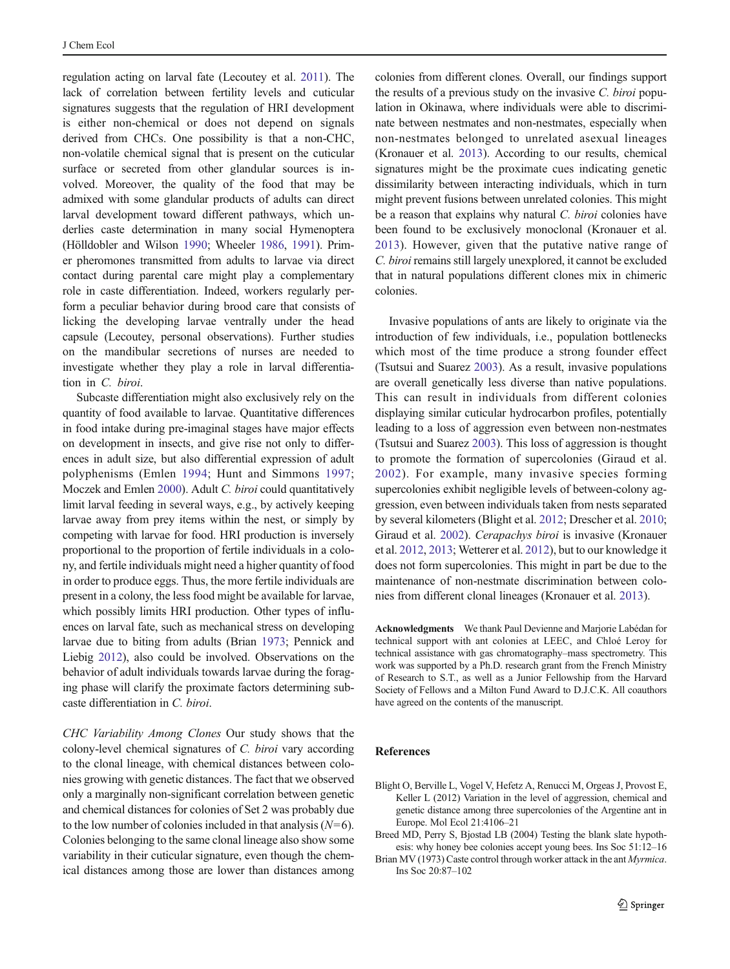<span id="page-8-0"></span>regulation acting on larval fate (Lecoutey et al. [2011\)](#page-9-0). The lack of correlation between fertility levels and cuticular signatures suggests that the regulation of HRI development is either non-chemical or does not depend on signals derived from CHCs. One possibility is that a non-CHC, non-volatile chemical signal that is present on the cuticular surface or secreted from other glandular sources is involved. Moreover, the quality of the food that may be admixed with some glandular products of adults can direct larval development toward different pathways, which underlies caste determination in many social Hymenoptera (Hölldobler and Wilson [1990](#page-9-0); Wheeler [1986,](#page-9-0) [1991\)](#page-9-0). Primer pheromones transmitted from adults to larvae via direct contact during parental care might play a complementary role in caste differentiation. Indeed, workers regularly perform a peculiar behavior during brood care that consists of licking the developing larvae ventrally under the head capsule (Lecoutey, personal observations). Further studies on the mandibular secretions of nurses are needed to investigate whether they play a role in larval differentiation in C. biroi.

Subcaste differentiation might also exclusively rely on the quantity of food available to larvae. Quantitative differences in food intake during pre-imaginal stages have major effects on development in insects, and give rise not only to differences in adult size, but also differential expression of adult polyphenisms (Emlen [1994](#page-9-0); Hunt and Simmons [1997](#page-9-0); Moczek and Emlen [2000](#page-9-0)). Adult C. biroi could quantitatively limit larval feeding in several ways, e.g., by actively keeping larvae away from prey items within the nest, or simply by competing with larvae for food. HRI production is inversely proportional to the proportion of fertile individuals in a colony, and fertile individuals might need a higher quantity of food in order to produce eggs. Thus, the more fertile individuals are present in a colony, the less food might be available for larvae, which possibly limits HRI production. Other types of influences on larval fate, such as mechanical stress on developing larvae due to biting from adults (Brian 1973; Pennick and Liebig [2012\)](#page-9-0), also could be involved. Observations on the behavior of adult individuals towards larvae during the foraging phase will clarify the proximate factors determining subcaste differentiation in C. biroi.

CHC Variability Among Clones Our study shows that the colony-level chemical signatures of C. biroi vary according to the clonal lineage, with chemical distances between colonies growing with genetic distances. The fact that we observed only a marginally non-significant correlation between genetic and chemical distances for colonies of Set 2 was probably due to the low number of colonies included in that analysis  $(N=6)$ . Colonies belonging to the same clonal lineage also show some variability in their cuticular signature, even though the chemical distances among those are lower than distances among colonies from different clones. Overall, our findings support the results of a previous study on the invasive C. biroi population in Okinawa, where individuals were able to discriminate between nestmates and non-nestmates, especially when non-nestmates belonged to unrelated asexual lineages (Kronauer et al. [2013](#page-9-0)). According to our results, chemical signatures might be the proximate cues indicating genetic dissimilarity between interacting individuals, which in turn might prevent fusions between unrelated colonies. This might be a reason that explains why natural C. biroi colonies have been found to be exclusively monoclonal (Kronauer et al. [2013](#page-9-0)). However, given that the putative native range of C. biroi remains still largely unexplored, it cannot be excluded that in natural populations different clones mix in chimeric colonies.

Invasive populations of ants are likely to originate via the introduction of few individuals, i.e., population bottlenecks which most of the time produce a strong founder effect (Tsutsui and Suarez [2003\)](#page-9-0). As a result, invasive populations are overall genetically less diverse than native populations. This can result in individuals from different colonies displaying similar cuticular hydrocarbon profiles, potentially leading to a loss of aggression even between non-nestmates (Tsutsui and Suarez [2003\)](#page-9-0). This loss of aggression is thought to promote the formation of supercolonies (Giraud et al. [2002\)](#page-9-0). For example, many invasive species forming supercolonies exhibit negligible levels of between-colony aggression, even between individuals taken from nests separated by several kilometers (Blight et al. 2012; Drescher et al. [2010;](#page-9-0) Giraud et al. [2002\)](#page-9-0). Cerapachys biroi is invasive (Kronauer et al. [2012,](#page-9-0) [2013;](#page-9-0) Wetterer et al. [2012](#page-9-0)), but to our knowledge it does not form supercolonies. This might in part be due to the maintenance of non-nestmate discrimination between colonies from different clonal lineages (Kronauer et al. [2013](#page-9-0)).

Acknowledgments We thank Paul Devienne and Marjorie Labédan for technical support with ant colonies at LEEC, and Chloé Leroy for technical assistance with gas chromatography–mass spectrometry. This work was supported by a Ph.D. research grant from the French Ministry of Research to S.T., as well as a Junior Fellowship from the Harvard Society of Fellows and a Milton Fund Award to D.J.C.K. All coauthors have agreed on the contents of the manuscript.

## References

- Blight O, Berville L, Vogel V, Hefetz A, Renucci M, Orgeas J, Provost E, Keller L (2012) Variation in the level of aggression, chemical and genetic distance among three supercolonies of the Argentine ant in Europe. Mol Ecol 21:4106–21
- Breed MD, Perry S, Bjostad LB (2004) Testing the blank slate hypothesis: why honey bee colonies accept young bees. Ins Soc 51:12–16
- Brian MV (1973) Caste control through worker attack in the ant Myrmica. Ins Soc 20:87–102